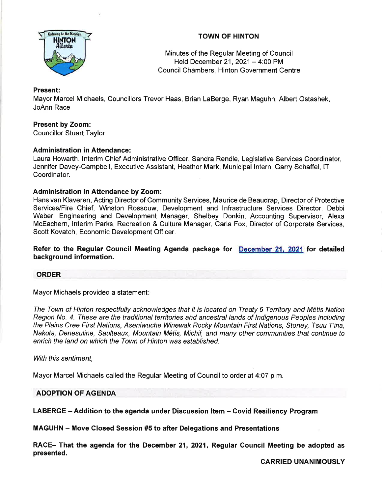

# TOWN OF HINTON

Minutes of the Regular Meeting of Council Held December 21, 2021 - 4:00 PM Council Chambers, Hinton Government Centre

# Present:

Mayor Marcel Michaels, Councillors Trevor Haas, Brian LaBerge, Ryan Maguhn, Albert Ostashek, JoAnn Race

# Present by Zoom:

Councillor Stuart Taylor

# Administration in Attendance:

Laura Howarth, lnterim Chief Administrative Officer, Sandra Rendle, Legislative Services Coordinator, Jennifer Davey-Campbell, Executive Assistant, Heather Mark, Municipal lntern, Garry Schaffel, lT Coordinator.

# Administration in Attendance by Zoom:

Hans van Klaveren, Acting Director of Community Services, Maurice de Beaudrap, Director of Protective Services/Fire Chief, Winston Rossouw, Development and lnfrastructure Services Director, Debbi Weber, Engineering and Development Manager, Shelbey Donkin, Accounting Supervisor, Alexa McEachern, lnterim Parks, Recreation & Culture Manager, Carla Fox, Director of Corporate Services, Scott Kovatch, Economic Development Officer.

Refer to the Regular Council Meeting Agenda package for December 21, 2021 for detailed background information.

## ORDER

Mayor Michaels provided a statement:

The Town of Hinton respectfully acknowledges that it is located on Treaty 6 Territory and Metis Nation Region No. 4. These are the traditional territories and ancestral lands of lndigenous Peoples including the Plains Cree First Nations, Aseniwuche Winewak Rocky Mountain First Nations, Sfoney, Tsuu T'ina, Nakota, Denesuline, Saulteaux, Mountain M6tis, Michif, and many other communities that continue to enrich the land on which the Town of Hinton was established.

With this sentiment.

Mayor Marcel Michaels called the Regular Meeting of Council to order at 4:07 p.m.

## ADOPTION OF AGENDA

LABERGE - Addition to the agenda under Discussion Item - Covid Resiliency Program

MAGUHN - Move Glosed Session #5 to after Delegations and Presentations

RACE- That the agenda for the December 21, 2021, Regular Council Meeting be adopted as presented.

CARRIED UNANIMOUSLY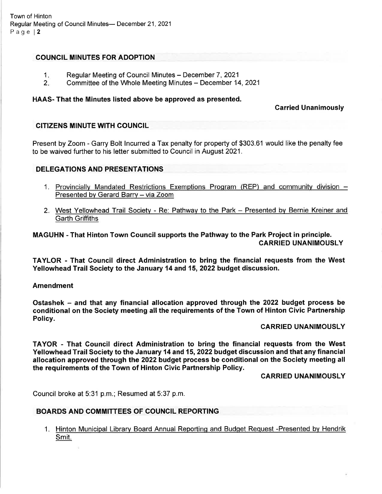# COUNCIL MINUTES FOR ADOPTION

- Regular Meeting of Council Minutes December 7, 2021  $1.1$
- Committee of the Whole Meeting Minutes December 14, 2021  $2 -$

## HAAS- That the Minutes listed above be approved as presented.

## Carried Unanimously

## CITIZENS MINUTE WITH COUNCIL

Present by Zoom - Garry Bolt lncurred a Tax penalty for property of \$303.61 would like the penalty fee to be waived further to his letter submitted to Council in August 2021.

## DELEGATIONS AND PRESENTATIONS

- 1. Provincially Mandated Restrictions Exemptions Program (REP) and community division -Presented by Gerard Barry - via Zoom
- 2. West Yellowhead Trail Society Re: Pathway to the Park Presented by Bernie Kreiner and Garth Griffiths

MAGUHN - That Hinton Town Council supports the Pathway to the Park Project in principle. CARRIED UNANIMOUSLY

TAYLOR - That Gouncil direct Administration to bring the financial requests from the West Yellowhead Trail Society to the January 14 and 15, 2022 budget discussion.

#### Amendment

Ostashek – and that any financial allocation approved through the 2022 budget process be conditional on the Society meeting all the requirements of the Town of Hinton Civic Partnership Policy.

#### CARRIED UNANIMOUSLY

TAYOR - That Gouncil direct Administration to bring the financial requests from the West Yellowhead Trail Society to the January 14 and 15, 2022 budget discussion and that any financial allocation approved through the 2022 budget process be conditional on the Society meeting all the requirements of the Town of Hinton Civic Partnership Policy.

CARRIED UNANIMOUSLY

Council broke at 5:31 p.m.; Resumed at 5:37 p.m.

## BOARDS AND COMMITTEES OF COUNCIL REPORTING

1. Hinton Municipal Library Board Annual Reporting and Budget Request -Presented by Hendrik Smit.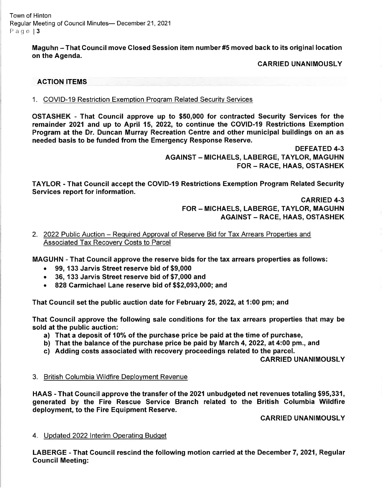Town of Hinton Regular Meeting of Council Minutes- December 21, 2021 Page | 3

> Maguhn - That Council move Closed Session item number #5 moved back to its original location on the Agenda.

## CARRIED UNANIMOUSLY

## ACTION ITEMS

1. COVID-19 Restriction Exemption Program Related Security Services

OSTASHEK - That Council approve up to \$50,000 for contracted Security Services for the remainder 2021 and up to April 15, 2022, to continue the COVID-I9 Restrictions Exemption Program at the Dr. Duncan Murray Recreation Centre and other municipal buildings on an as needed basis to be funded from the Emergency Response Reserve.

> DEFEATED 4.3 AGAINST - MICHAELS, LABERGE, TAYLOR, MAGUHN FOR - RACE, HAAS, OSTASHEK

TAYLOR - That Council accept the COVID-l9 Restrictions Exemption Program Related Security Services report for information.

> CARRIED 4.3 FOR - MICHAELS, LABERGE, TAYLOR, MAGUHN AGAINST - RACE, HAAS, OSTASHEK

2. 2022 Public Auction – Required Approval of Reserve Bid for Tax Arrears Properties and Associated Tax Recoverv Costs to Parcel

MAGUHN - That Council approve the reserve bids for the tax arrears properties as follows:

- . 99, 133 Jarvis Street reserve bid of \$9,000
- . 36, 133 Jarvis Street reserve bid of \$7,000 and
- 828 Carmichael Lane reserve bid of \$\$2,093,000; and

That Council set the public auction date for February 25, 2022, at 1 :00 pm; and

That Council approve the following sale conditions for the tax arrears properties that may be sold at the public auction:

- a) That a deposit of 1O% of the purchase price be paid at the time of purchase,
- b) That the balance of the purchase price be paid by March 4, 2022, at 4:00 pm., and
- c) Adding costs associated with recovery proceedings related to the parcel.

CARRIED UNANIMOUSLY

#### 3. British Columbia Wildfire Deplovment Revenue

HAAS - That Gouncil approve the transfer of the 2021 unbudgeted net revenues totaling \$95,331, generated by the Fire Rescue Service Branch related to the British Columbia Wildfire deployment, to the Fire Equipment Reserve.

CARRIED UNANIMOUSLY

#### 4. Updated 2022 Interim Operating Budget

LABERGE - That Council rescind the following motion carried at the December 7, 2021, Regular Council Meeting: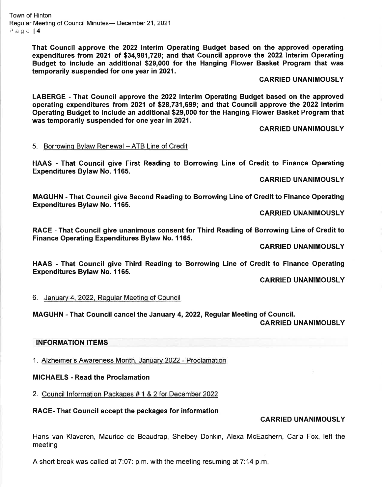Town of Hinton Regular Meeting of Council Minutes- December 21, 2021 Page l4

> That Council approve the 2022 lnterim Operating Budget based on the approved operating expenditures from 2021 of \$34,981,728; and that Council approve the 2022 Interim Operating Budget to include an additional \$29,000 for the Hanging Flower Basket Program that was temporarily suspended for one year in 2021.

#### CARRIED UNANIMOUSLY

LABERGE - That Council approve the 2022 Interim Operating Budget based on the approved operating expenditures from 2021 of \$28,731,699; and that Gouncil approve the 2022 Interim Operating Budget to include an additional \$29,000 for the Hanging Flower Basket Program that was temporarily suspended for one year in 2021.

#### CARRIED UNANIMOUSLY

#### 5. Borrowing Bylaw Renewal - ATB Line of Credit

HAAS - That Gouncil give First Reading to Borrowing Line of Gredit to Finance Operating Expenditures Bylaw No. 1165.

CARRIED UNANIMOUSLY

MAGUHN - That Council give Second Reading to Borrowing Line of Credit to Finance Operating Expenditures Bylaw No. 1165.

CARRIED UNANIMOUSLY

RACE - That Council give unanimous consent for Third Reading of Borrowing Line of Gredit to Finance Operating Expenditures Bylaw No. 1165.

CARRIED UNANIMOUSLY

HAAS - That Gouncil give Third Reading to Borrowing Line of Gredit to Finance Operating Expenditures Bylaw No. 1165.

CARRIED UNANIMOUSLY

6. Januarv 4, 2022, Regular Meetinq of Council

MAGUHN - That Gouncil cancel the January 4,2022, Regular Meeting of Gouncil.

CARRIED UNANIMOUSLY

#### INFORMATION ITEMS

1. Alzheimer's Awareness Month, Januarv 2022 - Proclamation

#### MIGHAELS - Read the Proclamation

2. Council lnformation Packages # 1 & 2 for December 2022

#### RACE- That Gouncil accept the packages for information

## CARRIED UNANIMOUSLY

Hans van Klaveren, Maurice de Beaudrap, Shelbey Donkin, Alexa McEachern, Carla Fox, left the meeting

A short break was called at  $7:07$ : p.m. with the meeting resuming at  $7:14$  p.m.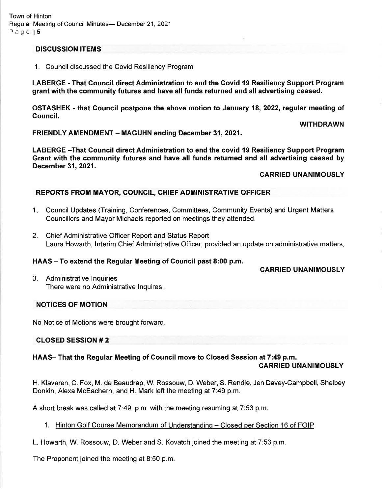# DISCUSSION ITEMS

1. Council discussed the Covid Resiliency Program

LABERGE - That Council direct Administration to end the Covid 19 Resiliency Support Program grant with the community futures and have all funds returned and all advertising ceased.

OSTASHEK - that Gouncil postpone the above motion to January 18,2022, regular meeting of Council.

FRIENDLY AMENDMENT - MAGUHN ending December 31, 2021.

LABERGE -That Gouncil direct Administration to end the covid 19 Resiliency Support Program Grant with the community futures and have all funds returned and all advertising ceased by December 31,2021.

# CARRIED UNANIMOUSLY

WITHDRAWN

# REPORTS FROM MAYOR, COUNCIL, CHIEF ADMINISTRATIVE OFFIGER

- <sup>1</sup> Council Updates (Training, Conferences, Committees, Community Events) and Urgent Matters Councillors and Mayor Michaels reported on meetings they attended.
- 2. Chief Administrative Officer Report and Status Report Laura Howarth, lnterim Chief Administrative Officer, provided an update on administrative matters,

# HAAS – To extend the Regular Meeting of Council past 8:00 p.m.

# CARRIED UNANIMOUSLY

3. Administrative lnquiries There were no Administrative lnquires

# NOTICES OF MOTION

No Notice of Motions were brought forward

# CLOSED SESSION # 2

# HAAS- That the Regular Meeting of Council move to Closed Session at 7:49 p.m.

# CARRIED UNANIMOUSLY

H. Klaveren, C. Fox, M. de Beaudrap, W. Rossouw, D. Weber, S. Rendle, Jen Davey-Campbell, Shelbey Donkin, Alexa McEachern, and H. Mark left the meeting at 7:49 p.m.

A short break was called at7:49. p.m. with the meeting resuming at 7:53 p.m.

1. Hinton Golf Course Memorandum of Understanding - Closed per Section 16 of FOIP

L. Howarth, W. Rossouw, D. Weber and S. Kovatch joined the meeting at 7:53 p.m.

The Proponent joined the meeting at 8:50 p.m.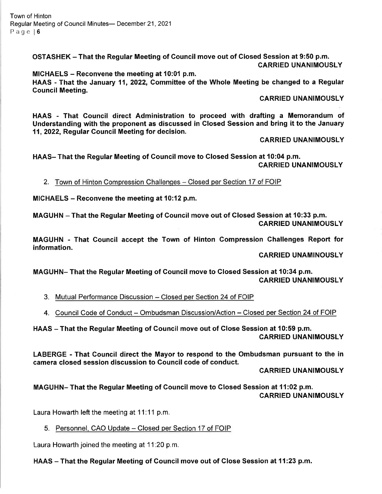Town of Hinton Regular Meeting of Council Minutes- December 21, 2021 Page l6

> OSTASHEK - That the Regular Meeting of Gouncil move out of Closed Session at 9:50 p.m. CARRIED UNANIMOUSLY

> MIGHAELS - Reconvene the meeting at 10:01 p.m. HAAS - That the January 11, 2022, Committee of the Whole Meeting be changed to a Regular Gouncil Meeting.

#### CARRIED UNANIMOUSLY

HAAS - That Council direct Administration to proceed with drafting a Memorandum of Understanding with the proponent as discussed in Closed Session and bring it to the January 11,2022, Regular Gouncil Meeting for decision.

#### CARRIED UNANIMOUSLY

HAAS- That the Regular Meeting of Gouncil move to Closed Session at 10:04 p.m. CARRIED UNANIMOUSLY

2. Town of Hinton Compression Challenges - Closed per Section 17 of FOIP

MICHAELS  $-$  Reconvene the meeting at 10:12 p.m.

MAGUHN - That the Regular Meeting of Council move out of Glosed Session at 10:33 p.m. CARRIED UNANIMOUSLY

MAGUHN - That Council accept the Town of Hinton Gompression Challenges Report for information.

CARRIED UNAMINOUSLY

MAGUHN- That the Regular Meeting of Gouncil move to Closed Session at 10:34 p.m. CARRIED UNANIMOUSLY

3. Mutual Performance Discussion – Closed per Section 24 of FOIP

4. <u>Council Code of Conduct – Ombudsman Discussion/Action – Closed per Section 24 of FOIP</u>

HAAS - That the Regular Meeting of Council move out of Close Session at 10:59 p.m. CARRIED UNANIMOUSLY

LABERGE - That Gouncil direct the Mayor to respond to the Ombudsman pursuant to the in camera closed session discussion to Council code of conduct.

CARRIED UNANIMOUSLY

MAGUHN- That the Regular Meeting of Gouncil move to Closed Session at 11:02 p.m. CARRIED UNANIMOUSLY

Laura Howarth left the meeting at 11.11 p.m.

5. Personnel, CAO Update - Closed per Section 17 of FOIP

Laura Howarth joined the meeting at 11:20 p.m.

HAAS - That the Regular Meeting of Council move out of Close Session at 11:23 p.m.